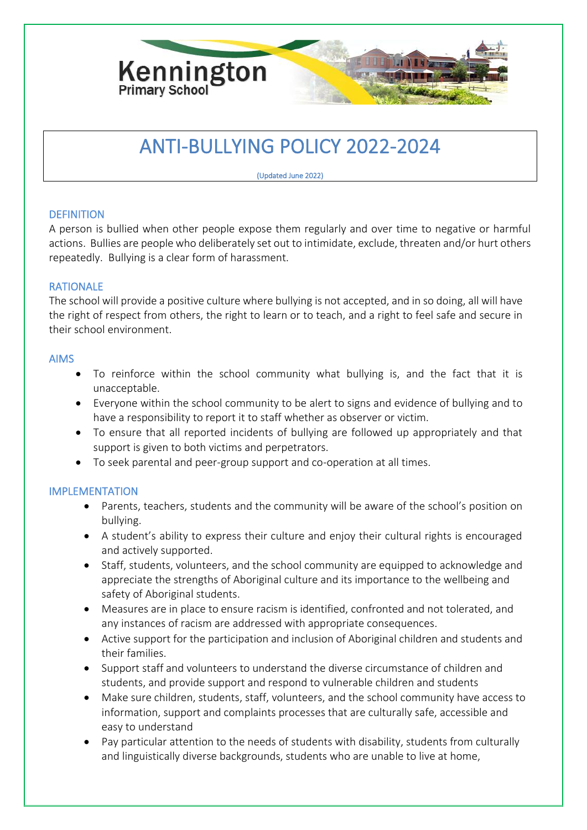

# ANTI-BULLYING POLICY 2022-2024

(Updated June 2022)

## **DEFINITION**

A person is bullied when other people expose them regularly and over time to negative or harmful actions. Bullies are people who deliberately set out to intimidate, exclude, threaten and/or hurt others repeatedly. Bullying is a clear form of harassment.

## RATIONALE

The school will provide a positive culture where bullying is not accepted, and in so doing, all will have the right of respect from others, the right to learn or to teach, and a right to feel safe and secure in their school environment.

## AIMS

- To reinforce within the school community what bullying is, and the fact that it is unacceptable.
- Everyone within the school community to be alert to signs and evidence of bullying and to have a responsibility to report it to staff whether as observer or victim.
- To ensure that all reported incidents of bullying are followed up appropriately and that support is given to both victims and perpetrators.
- To seek parental and peer-group support and co-operation at all times.

## IMPLEMENTATION

- Parents, teachers, students and the community will be aware of the school's position on bullying.
- A student's ability to express their culture and enjoy their cultural rights is encouraged and actively supported.
- Staff, students, volunteers, and the school community are equipped to acknowledge and appreciate the strengths of Aboriginal culture and its importance to the wellbeing and safety of Aboriginal students.
- Measures are in place to ensure racism is identified, confronted and not tolerated, and any instances of racism are addressed with appropriate consequences.
- Active support for the participation and inclusion of Aboriginal children and students and their families.
- Support staff and volunteers to understand the diverse circumstance of children and students, and provide support and respond to vulnerable children and students
- Make sure children, students, staff, volunteers, and the school community have access to information, support and complaints processes that are culturally safe, accessible and easy to understand
- Pay particular attention to the needs of students with disability, students from culturally and linguistically diverse backgrounds, students who are unable to live at home,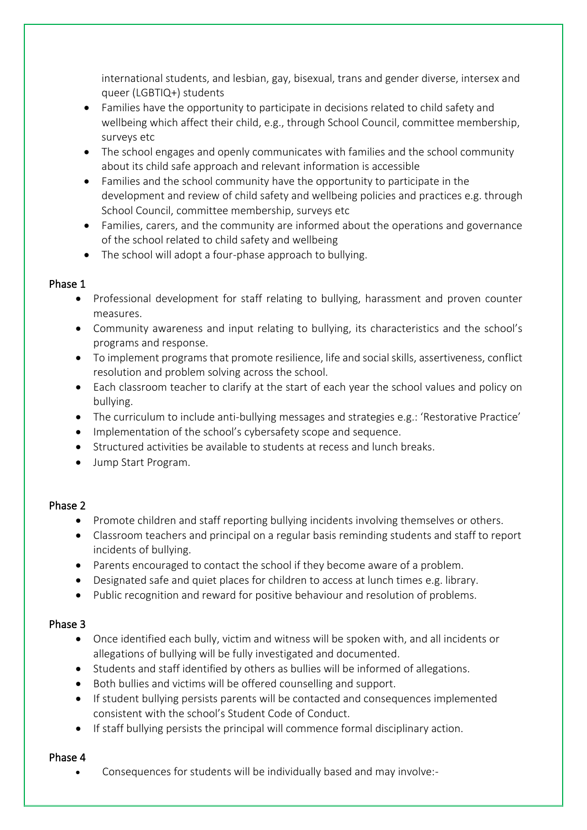international students, and lesbian, gay, bisexual, trans and gender diverse, intersex and queer (LGBTIQ+) students

- Families have the opportunity to participate in decisions related to child safety and wellbeing which affect their child, e.g., through School Council, committee membership, surveys etc
- The school engages and openly communicates with families and the school community about its child safe approach and relevant information is accessible
- Families and the school community have the opportunity to participate in the development and review of child safety and wellbeing policies and practices e.g. through School Council, committee membership, surveys etc
- Families, carers, and the community are informed about the operations and governance of the school related to child safety and wellbeing
- The school will adopt a four-phase approach to bullying.

## Phase 1

- Professional development for staff relating to bullying, harassment and proven counter measures.
- Community awareness and input relating to bullying, its characteristics and the school's programs and response.
- To implement programs that promote resilience, life and social skills, assertiveness, conflict resolution and problem solving across the school.
- Each classroom teacher to clarify at the start of each year the school values and policy on bullying.
- The curriculum to include anti-bullying messages and strategies e.g.: 'Restorative Practice'
- Implementation of the school's cybersafety scope and sequence.
- Structured activities be available to students at recess and lunch breaks.
- Jump Start Program.

## Phase 2

- Promote children and staff reporting bullying incidents involving themselves or others.
- Classroom teachers and principal on a regular basis reminding students and staff to report incidents of bullying.
- Parents encouraged to contact the school if they become aware of a problem.
- Designated safe and quiet places for children to access at lunch times e.g. library.
- Public recognition and reward for positive behaviour and resolution of problems.

## Phase 3

- Once identified each bully, victim and witness will be spoken with, and all incidents or allegations of bullying will be fully investigated and documented.
- Students and staff identified by others as bullies will be informed of allegations.
- Both bullies and victims will be offered counselling and support.
- If student bullying persists parents will be contacted and consequences implemented consistent with the school's Student Code of Conduct.
- If staff bullying persists the principal will commence formal disciplinary action.

## Phase 4

• Consequences for students will be individually based and may involve:-